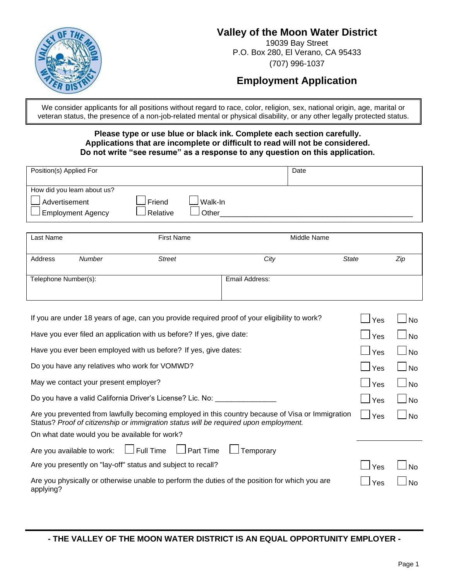

### **Valley of the Moon Water District**

19039 Bay Street P.O. Box 280, El Verano, CA 95433 (707) 996-1037

## **Employment Application**

We consider applicants for all positions without regard to race, color, religion, sex, national origin, age, marital or veteran status, the presence of a non-job-related mental or physical disability, or any other legally protected status.

#### **Please type or use blue or black ink. Complete each section carefully. Applications that are incomplete or difficult to read will not be considered. Do not write "see resume" as a response to any question on this application.**

| Position(s) Applied For                                                                                           |                                        | Date           |              |     |  |
|-------------------------------------------------------------------------------------------------------------------|----------------------------------------|----------------|--------------|-----|--|
| How did you learn about us?<br>Advertisement<br><b>Employment Agency</b>                                          | Friend<br>Walk-In<br>Relative<br>Other |                |              |     |  |
| Last Name                                                                                                         | <b>First Name</b>                      | Middle Name    |              |     |  |
| Address<br><b>Number</b>                                                                                          | <b>Street</b>                          | City           | <b>State</b> | Zip |  |
| Telephone Number(s):                                                                                              |                                        | Email Address: |              |     |  |
| If you are under 18 years of age, can you provide required proof of your eligibility to work?<br>Yes<br><b>No</b> |                                        |                |              |     |  |
| Have you ever filed an application with us before? If yes, give date:<br>Yes<br><b>No</b>                         |                                        |                |              |     |  |
| Have you ever been employed with us before? If yes, give dates:<br>Yes                                            |                                        |                |              |     |  |

Do you have any relatives who work for VOMWD?  $\Box$  Yes  $\Box$  No

May we contact your present employer?  $\Box$  Yes  $\Box$  No.  $\Box$  Yes  $\Box$  No.

|                                                                                                                                                                                          | I TES                          | $\blacksquare$ |
|------------------------------------------------------------------------------------------------------------------------------------------------------------------------------------------|--------------------------------|----------------|
| Do you have a valid California Driver's License? Lic. No:                                                                                                                                | ∣ ⊥Yes                         | $\Box$ No      |
| Are you prevented from lawfully becoming employed in this country because of Visa or Immigration<br>Status? Proof of citizenship or immigration status will be required upon employment. | $\lceil \ \rceil_{\text{Yes}}$ | l Ino          |
| On what date would you be available for work?                                                                                                                                            |                                |                |
| Are you available to work: $\square$ Full Time $\square$ Part Time $\square$ Temporary                                                                                                   |                                |                |
| Are you presently on "lay-off" status and subject to recall?                                                                                                                             | $  \cdot  $ Yes                | N <sub>0</sub> |
| Are you physically or otherwise unable to perform the duties of the position for which you are<br>applying?                                                                              | Yes                            | <b>No</b>      |

**- THE VALLEY OF THE MOON WATER DISTRICT IS AN EQUAL OPPORTUNITY EMPLOYER -**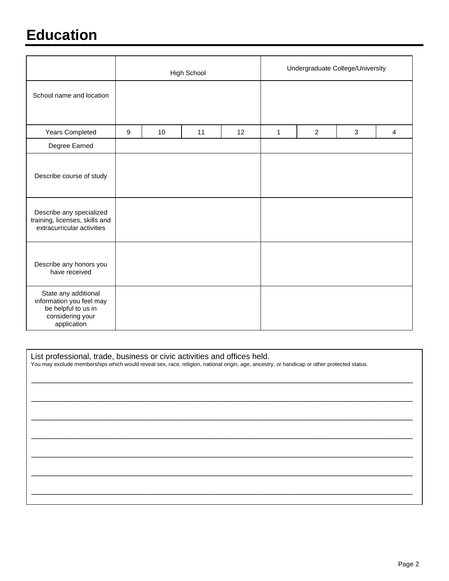# **Education**

|                                                                                                            | High School      |    |    | Undergraduate College/University |              |                |              |                |
|------------------------------------------------------------------------------------------------------------|------------------|----|----|----------------------------------|--------------|----------------|--------------|----------------|
| School name and location                                                                                   |                  |    |    |                                  |              |                |              |                |
| Years Completed                                                                                            | $\boldsymbol{9}$ | 10 | 11 | 12                               | $\mathbf{1}$ | $\overline{2}$ | $\mathbf{3}$ | $\overline{4}$ |
| Degree Earned                                                                                              |                  |    |    |                                  |              |                |              |                |
| Describe course of study                                                                                   |                  |    |    |                                  |              |                |              |                |
| Describe any specialized<br>training, licenses, skills and<br>extracurricular activities                   |                  |    |    |                                  |              |                |              |                |
| Describe any honors you<br>have received                                                                   |                  |    |    |                                  |              |                |              |                |
| State any additional<br>information you feel may<br>be helpful to us in<br>considering your<br>application |                  |    |    |                                  |              |                |              |                |

List professional, trade, business or civic activities and offices held.

You may exclude memberships which would reveal sex, race, religion, national origin, age, ancestry, or handicap or other protected status.

\_\_\_\_\_\_\_\_\_\_\_\_\_\_\_\_\_\_\_\_\_\_\_\_\_\_\_\_\_\_\_\_\_\_\_\_\_\_\_\_\_\_\_\_\_\_\_\_\_\_\_\_\_\_\_\_\_\_\_\_\_\_\_\_\_\_\_\_\_\_\_\_\_\_\_\_\_\_\_\_\_\_\_\_\_

\_\_\_\_\_\_\_\_\_\_\_\_\_\_\_\_\_\_\_\_\_\_\_\_\_\_\_\_\_\_\_\_\_\_\_\_\_\_\_\_\_\_\_\_\_\_\_\_\_\_\_\_\_\_\_\_\_\_\_\_\_\_\_\_\_\_\_\_\_\_\_\_\_\_\_\_\_\_\_\_\_\_\_\_\_

\_\_\_\_\_\_\_\_\_\_\_\_\_\_\_\_\_\_\_\_\_\_\_\_\_\_\_\_\_\_\_\_\_\_\_\_\_\_\_\_\_\_\_\_\_\_\_\_\_\_\_\_\_\_\_\_\_\_\_\_\_\_\_\_\_\_\_\_\_\_\_\_\_\_\_\_\_\_\_\_\_\_\_\_\_

\_\_\_\_\_\_\_\_\_\_\_\_\_\_\_\_\_\_\_\_\_\_\_\_\_\_\_\_\_\_\_\_\_\_\_\_\_\_\_\_\_\_\_\_\_\_\_\_\_\_\_\_\_\_\_\_\_\_\_\_\_\_\_\_\_\_\_\_\_\_\_\_\_\_\_\_\_\_\_\_\_\_\_\_\_

\_\_\_\_\_\_\_\_\_\_\_\_\_\_\_\_\_\_\_\_\_\_\_\_\_\_\_\_\_\_\_\_\_\_\_\_\_\_\_\_\_\_\_\_\_\_\_\_\_\_\_\_\_\_\_\_\_\_\_\_\_\_\_\_\_\_\_\_\_\_\_\_\_\_\_\_\_\_\_\_\_\_\_\_\_

\_\_\_\_\_\_\_\_\_\_\_\_\_\_\_\_\_\_\_\_\_\_\_\_\_\_\_\_\_\_\_\_\_\_\_\_\_\_\_\_\_\_\_\_\_\_\_\_\_\_\_\_\_\_\_\_\_\_\_\_\_\_\_\_\_\_\_\_\_\_\_\_\_\_\_\_\_\_\_\_\_\_\_\_\_

\_\_\_\_\_\_\_\_\_\_\_\_\_\_\_\_\_\_\_\_\_\_\_\_\_\_\_\_\_\_\_\_\_\_\_\_\_\_\_\_\_\_\_\_\_\_\_\_\_\_\_\_\_\_\_\_\_\_\_\_\_\_\_\_\_\_\_\_\_\_\_\_\_\_\_\_\_\_\_\_\_\_\_\_\_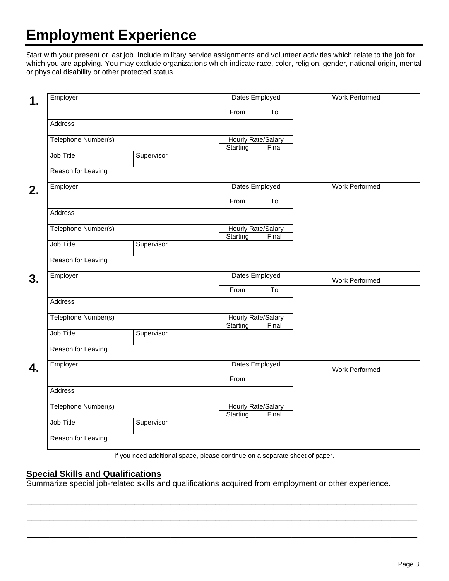# **Employment Experience**

Start with your present or last job. Include military service assignments and volunteer activities which relate to the job for which you are applying. You may exclude organizations which indicate race, color, religion, gender, national origin, mental or physical disability or other protected status.

| Employer            |            | Dates Employed                 |                        | <b>Work Performed</b> |
|---------------------|------------|--------------------------------|------------------------|-----------------------|
|                     |            | From                           | $\overline{\text{To}}$ |                       |
| Address             |            |                                |                        |                       |
| Telephone Number(s) |            | Hourly Rate/Salary             |                        |                       |
|                     |            | Starting                       | Final                  |                       |
| <b>Job Title</b>    | Supervisor |                                |                        |                       |
| Reason for Leaving  |            |                                |                        |                       |
| Employer            |            |                                | Dates Employed         | Work Performed        |
|                     |            | From                           | $\overline{\text{To}}$ |                       |
| Address             |            |                                |                        |                       |
| Telephone Number(s) |            | <b>Hourly Rate/Salary</b>      |                        |                       |
|                     |            | Starting                       | Final                  |                       |
| Job Title           | Supervisor |                                |                        |                       |
| Reason for Leaving  |            |                                |                        |                       |
| Employer            |            | Dates Employed                 |                        | Work Performed        |
|                     |            | From                           | To                     |                       |
| Address             |            |                                |                        |                       |
| Telephone Number(s) |            | Hourly Rate/Salary<br>Starting |                        |                       |
| Job Title           | Supervisor |                                | Final                  |                       |
| Reason for Leaving  |            |                                |                        |                       |
|                     |            |                                |                        |                       |
| Employer            |            | Dates Employed                 |                        | Work Performed        |
|                     |            | From                           |                        |                       |
| Address             |            |                                |                        |                       |
| Telephone Number(s) |            | Hourly Rate/Salary<br>Starting | Final                  |                       |
| Job Title           | Supervisor |                                |                        |                       |
| Reason for Leaving  |            |                                |                        |                       |
|                     |            |                                |                        |                       |

If you need additional space, please continue on a separate sheet of paper.

\_\_\_\_\_\_\_\_\_\_\_\_\_\_\_\_\_\_\_\_\_\_\_\_\_\_\_\_\_\_\_\_\_\_\_\_\_\_\_\_\_\_\_\_\_\_\_\_\_\_\_\_\_\_\_\_\_\_\_\_\_\_\_\_\_\_\_\_\_\_\_\_\_\_\_\_\_\_\_\_\_\_\_\_\_\_\_

\_\_\_\_\_\_\_\_\_\_\_\_\_\_\_\_\_\_\_\_\_\_\_\_\_\_\_\_\_\_\_\_\_\_\_\_\_\_\_\_\_\_\_\_\_\_\_\_\_\_\_\_\_\_\_\_\_\_\_\_\_\_\_\_\_\_\_\_\_\_\_\_\_\_\_\_\_\_\_\_\_\_\_\_\_\_\_

\_\_\_\_\_\_\_\_\_\_\_\_\_\_\_\_\_\_\_\_\_\_\_\_\_\_\_\_\_\_\_\_\_\_\_\_\_\_\_\_\_\_\_\_\_\_\_\_\_\_\_\_\_\_\_\_\_\_\_\_\_\_\_\_\_\_\_\_\_\_\_\_\_\_\_\_\_\_\_\_\_\_\_\_\_\_\_

#### **Special Skills and Qualifications**

Summarize special job-related skills and qualifications acquired from employment or other experience.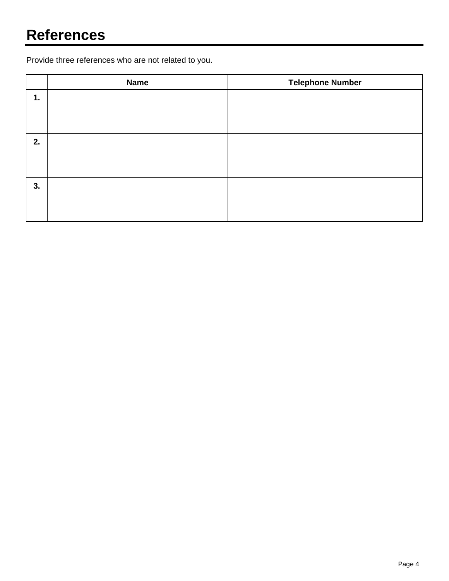Provide three references who are not related to you.

|    | <b>Name</b> | <b>Telephone Number</b> |
|----|-------------|-------------------------|
| 1. |             |                         |
|    |             |                         |
|    |             |                         |
| 2. |             |                         |
|    |             |                         |
|    |             |                         |
| 3. |             |                         |
|    |             |                         |
|    |             |                         |